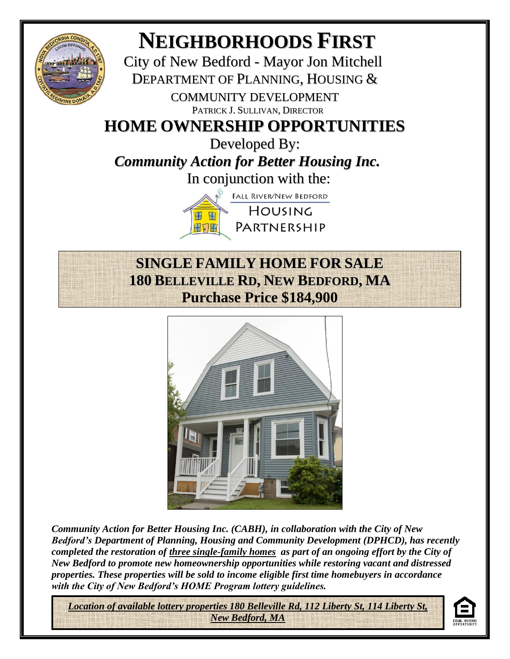

## **NEIGHBORHOODS FIRST**

City of New Bedford - Mayor Jon Mitchell DEPARTMENT OF PLANNING, HOUSING & COMMUNITY DEVELOPMENT PATRICK J. SULLIVAN, DIRECTOR

## **HOME OWNERSHIP OPPORTUNITIES**

Developed By: *Community Action for Better Housing Inc.* In conjunction with the:

> **FALL RIVER/NEW BEDFORD** HOUSING **H** PARTNERSHIP 田口田

## **SINGLE FAMILY HOME FOR SALE 180 BELLEVILLE RD, NEW BEDFORD, MA Purchase Price \$184,900**



*Community Action for Better Housing Inc. (CABH), in collaboration with the City of New Bedford's Department of Planning, Housing and Community Development (DPHCD), has recently completed the restoration of three single-family homes as part of an ongoing effort by the City of New Bedford to promote new homeownership opportunities while restoring vacant and distressed properties. These properties will be sold to income eligible first time homebuyers in accordance with the City of New Bedford's HOME Program lottery guidelines.*

*Location of available lottery properties 180 Belleville Rd, 112 Liberty St, 114 Liberty St, New Bedford, MA*